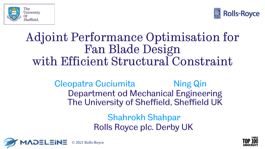



#### Adjoint Performance Optimisation for Fan Blade Design with Efficient Structural Constraint

Cleopatra Cuciumita Ming Qin Department od Mechanical Engineering The University of Sheffield, Sheffield UK

> Shahrokh Shahpar Rolls Royce plc. Derby UK



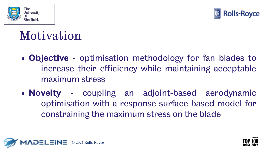



#### Motivation

- **Objective** optimisation methodology for fan blades to increase their efficiency while maintaining acceptable maximum stress
- **Novelty** coupling an adjoint-based aerodynamic optimisation with a response surface based model for constraining the maximum stress on the blade



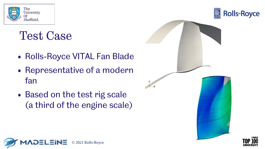

#### Test Case

- Rolls-Royce VITAL Fan Blade
- Representative of a modern fan
- Based on the test rig scale (a third of the engine scale)



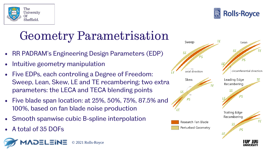



# Geometry Parametrisation

- RR PADRAM's Engineering Design Parameters (EDP)
- Intuitive geometry manipulation
- Five EDPs, each controling a Degree of Freedom: Sweep, Lean, Skew, LE and TE recambering; two extra parameters: the LECA and TECA blending points
- Five blade span location: at 25%, 50%, 75%, 87.5% and 100%, based on fan blade noise production
- Smooth spanwise cubic B-spline interpolation
- A total of 35 DOFs



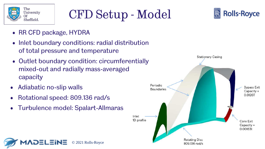

07/12/2021

# CFD Setup - Model



- RR CFD package, HYDRA
- Inlet boundary conditions: radial distribution of total pressure and temperature
- Outlet boundary condition: circumferentially mixed-out and radially mass-averaged capacity

© 2021 Rolls-Royce

- Adiabatic no-slip walls
- Rotational speed: 809.136 rad/s
- Turbulence model: Spalart-Allmaras

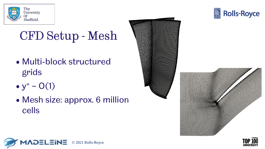

### CFD Setup - Mesh

- Multi-block structured grids
- $y^{+} \sim O(1)$
- Mesh size: approx. 6 million cells









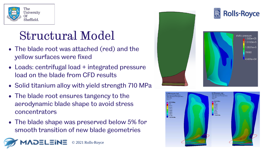

#### Structural Model

- The blade root was attached (red) and the yellow surfaces were fixed
- Loads: centrifugal load + integrated pressure load on the blade from CFD results
- Solid titanium alloy with yield strength 710 MPa
- The blade root ensures tangency to the aerodynamic blade shape to avoid stress concentrators
- The blade shape was preserved below 5% for smooth transition of new blade geometries





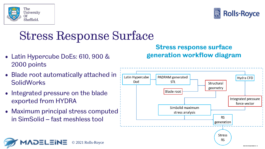

07/12/2021



#### Stress Response Surface

© 2021 Rolls-Royce

- Latin Hypercube DoEs: 610, 900 & 2000 points
- Blade root automatically attached in **SolidWorks**
- Integrated pressure on the blade exported from HYDRA
- Maximum principal stress computed in SimSolid – fast meshless tool



**Stress response surface** 

**generation workflow diagram**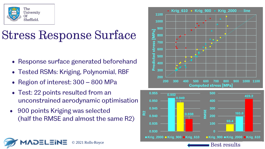

### Stress Response Surface

- Response surface generated beforehand
- Tested RSMs: Kriging, Polynomial, RBF
- Region of interest: 300 800 MPa
- Test: 22 points resulted from an unconstrained aerodynamic optimisation
- 900 points Kriging was selected (half the RMSE and almost the same R2)





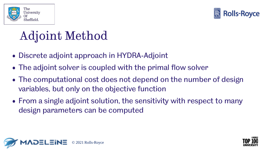



# Adjoint Method

- Discrete adjoint approach in HYDRA-Adjoint
- The adjoint solver is coupled with the primal flow solver
- The computational cost does not depend on the number of design variables, but only on the objective function
- From a single adjoint solution, the sensitivity with respect to many design parameters can be computed



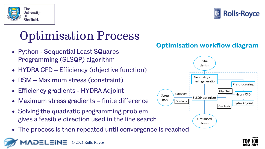

07/12/2021

# Optimisation Process

- Python Sequential Least SQuares Programming (SLSQP) algorithm
- HYDRA CFD Efficiency (objective function)
- RSM Maximum stress (constraint)
- Efficiency gradients HYDRA Adjoint
- Maximum stress gradients finite difference
- Solving the quadratic programming problem gives a feasible direction used in the line search
- The process is then repeated until convergence is reached







**Rolls-Royce** 

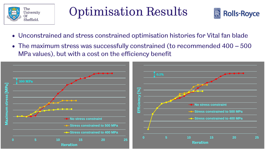

#### Optimisation Results



- Unconstrained and stress constrained optimisation histories for Vital fan blade
- The maximum stress was successfully constrained (to recommended 400 500 MPa values), but with a cost on the efficiency benefit

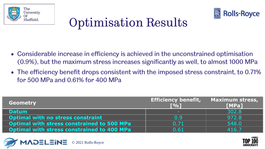



# Optimisation Results

- Considerable increase in efficiency is achieved in the unconstrained optimisation (0.9%), but the maximum stress increases significantly as well, to almost 1000 MPa
- The efficiency benefit drops consistent with the imposed stress constraint, to 0.71% for 500 MPa and 0.61% for 400 MPa

| <b>Geometry</b>                                   | <b>Efficiency benefit,</b><br>$\Gamma$ %1 | <b>Maximum stress,</b><br><b>[MPa]</b> |
|---------------------------------------------------|-------------------------------------------|----------------------------------------|
| <b>Datum</b>                                      | $\sim$                                    | 302.8                                  |
| <b>Optimal with no stress constraint</b>          | 0.9                                       | 972.8                                  |
| <b>Optimal with stress constrained to 500 MPa</b> | 0.71                                      | 548.0                                  |
| <b>Optimal with stress constrained to 400 MPa</b> | 0.61                                      | 416 7                                  |



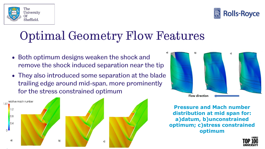

The



### Optimal Geometry Flow Features

- Both optimum designs weaken the shock and remove the shock induced separation near the tip
- They also introduced some separation at the blade trailing edge around mid-span, more prominently for the stress constrained optimum







**Pressure and Mach number distribution at mid span for: a)datum, b)unconstrained optimum; c)stress constrained optimum**

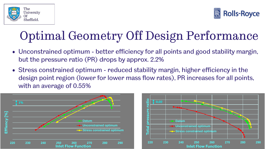



# Optimal Geometry Off Design Performance

- Unconstrained optimum better efficiency for all points and good stability margin, but the pressure ratio (PR) drops by approx. 2.2%
- Stress constrained optimum reduced stability margin, higher efficiency in the design point region (lower for lower mass flow rates), PR increases for all points, with an average of 0.55%



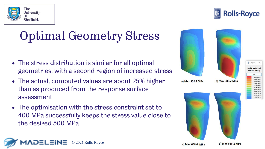

# Optimal Geometry Stress

- The stress distribution is similar for all optimal geometries, with a second region of increased stress
- The actual, computed values are about 25% higher than as produced from the response surface assessment
- The optimisation with the stress constraint set to 400 MPa successfully keeps the stress value close to the desired 500 MPa









d) Max 533.2 MPa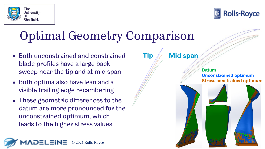



## Optimal Geometry Comparison

- Both unconstrained and constrained blade profiles have a large back sweep near the tip and at mid span
- Both optima also have lean and a visible trailing edge recambering
- These geometric differences to the datum are more pronounced for the unconstrained optimum, which leads to the higher stress values



**Tip Mid span**

**Datum Unconstrained optimum Stress constrained optimum**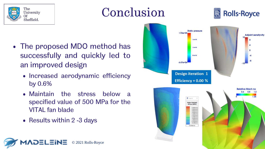

#### Conclusion



- The proposed MDO method has successfully and quickly led to an improved design
	- Increased aerodynamic efficiency by 0.6%
	- Maintain the stress below a specified value of 500 MPa for the VITAL fan blade

© 2021 Rolls-Royce

• Results within 2 -3 days

**NDELEINE** 

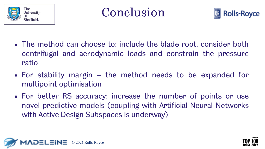





- The method can choose to: include the blade root, consider both centrifugal and aerodynamic loads and constrain the pressure ratio
- For stability margin the method needs to be expanded for multipoint optimisation
- For better RS accuracy: increase the number of points or use novel predictive models (coupling with Artificial Neural Networks with Active Design Subspaces is underway)



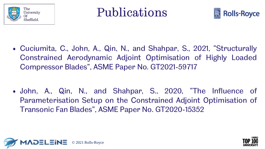





• Cuciumita, C., John, A., Qin, N., and Shahpar, S., 2021, "Structurally Constrained Aerodynamic Adjoint Optimisation of Highly Loaded Compressor Blades", ASME Paper No. GT2021-59717

• John, A., Qin, N., and Shahpar, S., 2020, "The Influence of Parameterisation Setup on the Constrained Adjoint Optimisation of Transonic Fan Blades", ASME Paper No. GT2020-15352